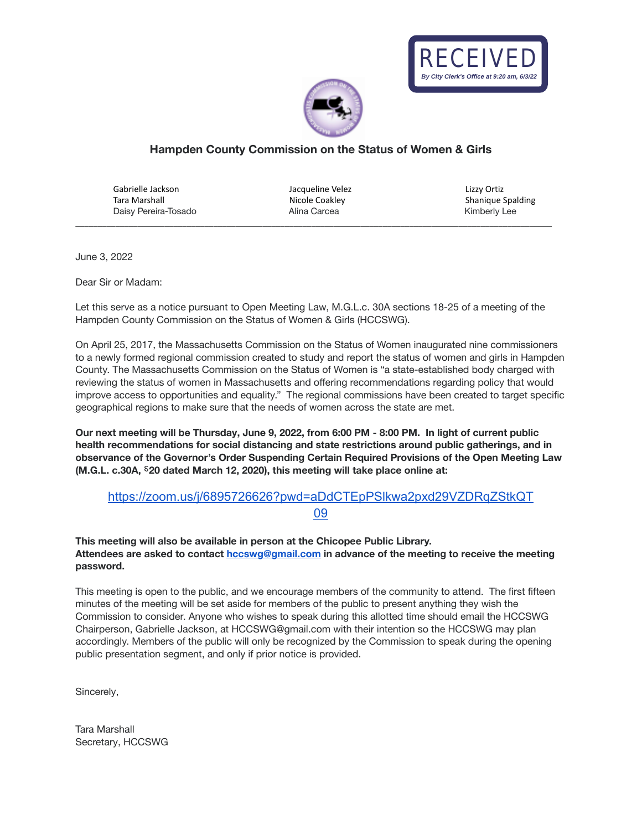



## **Hampden County Commission on the Status of Women & Girls**

Gabrielle Jackson Tara Marshall Daisy Pereira-Tosado Alina Carcea Kimberly Lee

Jacqueline Velez Nicole Coakley<br>Alina Carcea

\_\_\_\_\_\_\_\_\_\_\_\_\_\_\_\_\_\_\_\_\_\_\_\_\_\_\_\_\_\_\_\_\_\_\_\_\_\_\_\_\_\_\_\_\_\_\_\_\_\_\_\_\_\_\_\_\_\_\_\_\_\_\_\_\_\_\_\_\_\_\_\_\_\_\_\_\_\_\_\_\_\_\_\_\_\_\_\_\_\_\_\_\_\_\_\_\_\_\_\_\_\_\_\_\_\_\_

Lizzy Ortiz Shanique Spalding

June 3, 2022

Dear Sir or Madam:

Let this serve as a notice pursuant to Open Meeting Law, M.G.L.c. 30A sections 18-25 of a meeting of the Hampden County Commission on the Status of Women & Girls (HCCSWG).

On April 25, 2017, the Massachusetts Commission on the Status of Women inaugurated nine commissioners to a newly formed regional commission created to study and report the status of women and girls in Hampden County. The Massachusetts Commission on the Status of Women is "a state-established body charged with reviewing the status of women in Massachusetts and offering recommendations regarding policy that would improve access to opportunities and equality." The regional commissions have been created to target specific geographical regions to make sure that the needs of women across the state are met.

Our next meeting will be Thursday, June 9, 2022, from 6:00 PM - 8:00 PM. In light of current public **health recommendations for social distancing and state restrictions around public gatherings, and in observance of the Governor's Order Suspending Certain Required Provisions of the Open Meeting Law (M.G.L. c.30A,** ⸹**20 dated March 12, 2020), this meeting will take place online at:**

## [https://zoom.us/j/6895726626?pwd=aDdCTEpPSlkwa2pxd29VZDRqZStkQT](https://zoom.us/j/6895726626?pwd=aDdCTEpPSlkwa2pxd29VZDRqZStkQT09)

[09](https://zoom.us/j/6895726626?pwd=aDdCTEpPSlkwa2pxd29VZDRqZStkQT09)

**This meeting will also be available in person at the Chicopee Public Library. Attendees are asked to contact [hccswg@gmail.com](mailto:hccswg@gmail.com) in advance of the meeting to receive the meeting password.**

This meeting is open to the public, and we encourage members of the community to attend. The first fifteen minutes of the meeting will be set aside for members of the public to present anything they wish the Commission to consider. Anyone who wishes to speak during this allotted time should email the HCCSWG Chairperson, Gabrielle Jackson, at HCCSWG@gmail.com with their intention so the HCCSWG may plan accordingly. Members of the public will only be recognized by the Commission to speak during the opening public presentation segment, and only if prior notice is provided.

Sincerely,

Tara Marshall Secretary, HCCSWG